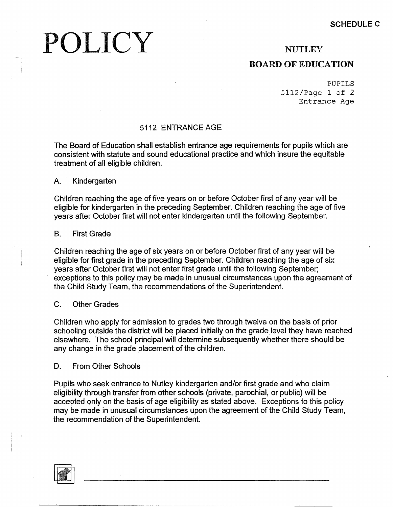# POLICY

### **NUTLEY**

### **BOARD OF EDUCATION**

PUPILS 5112/Page 1 of 2 Entrance Age

#### 5112 ENTRANCEAGE

The Board of Education shall establish entrance age requirements for pupils which are consistent with statute and sound educational practice and which insure the equitable treatment of all eligible children.

A. Kindergarten

Children reaching the age of five years on or before October first of any year will be eligible for kindergarten in the preceding September. Children reaching the age of five years after October first will not enter kindergarten until the following September.

#### B. First Grade

Children reaching the age of six years on or before October first of any year will be eligible for first grade in the preceding September. Children reaching the age of six years after October first will not enter first grade until the following September; exceptions to this policy may be made in unusual circumstances upon the agreement of the Child Study Team, the recommendations of the Superintendent.

#### C. Other Grades

Children who apply for admission to grades two through twelve on the basis of prior schooling outside the district will be placed initially on the grade level they have reached elsewhere. The school principal will determine subsequently whether there should be any change in the grade placement of the children.

D. From Other Schools

Pupils who seek entrance to Nutley kindergarten and/or first grade and who claim eligibility through transfer from other schools (private, parochial, or public) will be accepted only on the basis of age eligibility as stated above. Exceptions to this policy may be made in unusual circumstances upon the agreement of the Child Study Team, the recommendation of the Superintendent.